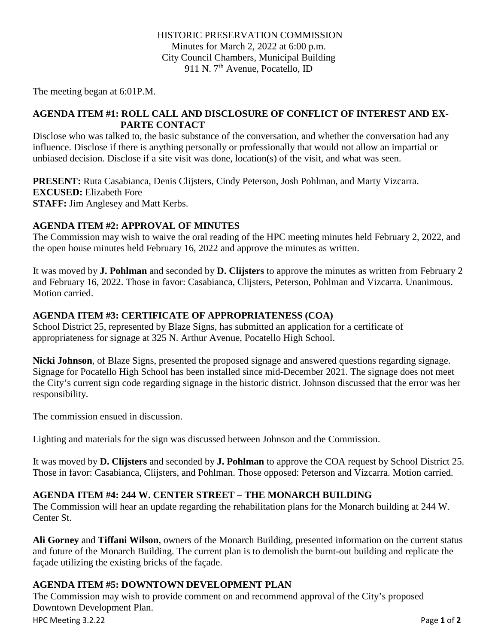The meeting began at 6:01P.M.

### **AGENDA ITEM #1: ROLL CALL AND DISCLOSURE OF CONFLICT OF INTEREST AND EX-PARTE CONTACT**

Disclose who was talked to, the basic substance of the conversation, and whether the conversation had any influence. Disclose if there is anything personally or professionally that would not allow an impartial or unbiased decision. Disclose if a site visit was done, location(s) of the visit, and what was seen.

**PRESENT:** Ruta Casabianca, Denis Clijsters, Cindy Peterson, Josh Pohlman, and Marty Vizcarra. **EXCUSED:** Elizabeth Fore **STAFF:** Jim Anglesey and Matt Kerbs.

## **AGENDA ITEM #2: APPROVAL OF MINUTES**

The Commission may wish to waive the oral reading of the HPC meeting minutes held February 2, 2022, and the open house minutes held February 16, 2022 and approve the minutes as written.

It was moved by **J. Pohlman** and seconded by **D. Clijsters** to approve the minutes as written from February 2 and February 16, 2022. Those in favor: Casabianca, Clijsters, Peterson, Pohlman and Vizcarra. Unanimous. Motion carried.

## **AGENDA ITEM #3: CERTIFICATE OF APPROPRIATENESS (COA)**

School District 25, represented by Blaze Signs, has submitted an application for a certificate of appropriateness for signage at 325 N. Arthur Avenue, Pocatello High School.

**Nicki Johnson**, of Blaze Signs, presented the proposed signage and answered questions regarding signage. Signage for Pocatello High School has been installed since mid-December 2021. The signage does not meet the City's current sign code regarding signage in the historic district. Johnson discussed that the error was her responsibility.

The commission ensued in discussion.

Lighting and materials for the sign was discussed between Johnson and the Commission.

It was moved by **D. Clijsters** and seconded by **J. Pohlman** to approve the COA request by School District 25. Those in favor: Casabianca, Clijsters, and Pohlman. Those opposed: Peterson and Vizcarra. Motion carried.

# **AGENDA ITEM #4: 244 W. CENTER STREET – THE MONARCH BUILDING**

The Commission will hear an update regarding the rehabilitation plans for the Monarch building at 244 W. Center St.

**Ali Gorney** and **Tiffani Wilson**, owners of the Monarch Building, presented information on the current status and future of the Monarch Building. The current plan is to demolish the burnt-out building and replicate the façade utilizing the existing bricks of the façade.

# **AGENDA ITEM #5: DOWNTOWN DEVELOPMENT PLAN**

The Commission may wish to provide comment on and recommend approval of the City's proposed Downtown Development Plan.

HPC Meeting 3.2.22 Page **1** of **2**